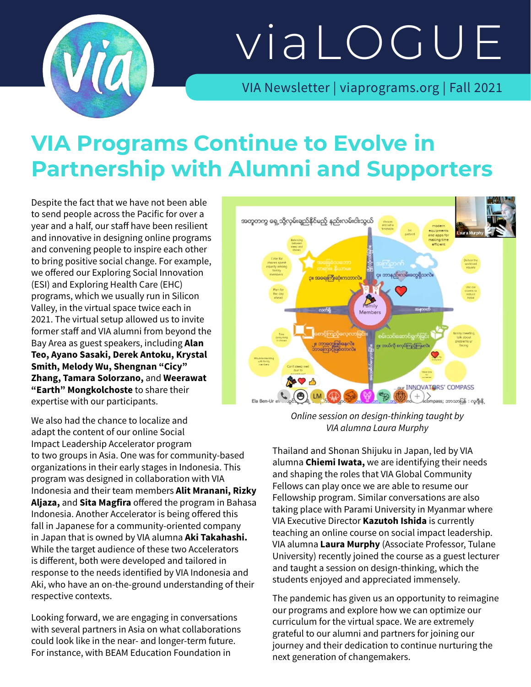

# viaLOGUE

VIA Newsletter | viaprograms.org | Fall 2021

## **VIA Programs Continue to Evolve in Partnership with Alumni and Supporters**

Despite the fact that we have not been able to send people across the Pacific for over a year and a half, our staff have been resilient and innovative in designing online programs and convening people to inspire each other to bring positive social change. For example, we offered our Exploring Social Innovation (ESI) and Exploring Health Care (EHC) programs, which we usually run in Silicon Valley, in the virtual space twice each in 2021. The virtual setup allowed us to invite former staff and VIA alumni from beyond the Bay Area as guest speakers, including **Alan Teo, Ayano Sasaki, Derek Antoku, Krystal Smith, Melody Wu, Shengnan "Cicy" Zhang, Tamara Solorzano,** and **Weerawat "Earth" Mongkolchoste** to share their expertise with our participants.

We also had the chance to localize and adapt the content of our online Social Impact Leadership Accelerator program to two groups in Asia. One was for community-based organizations in their early stages in Indonesia. This program was designed in collaboration with VIA Indonesia and their team members **Alit Mranani, Rizky Aljaza,** and **Sita Magfira** offered the program in Bahasa Indonesia. Another Accelerator is being offered this fall in Japanese for a community-oriented company in Japan that is owned by VIA alumna **Aki Takahashi.** While the target audience of these two Accelerators is different, both were developed and tailored in response to the needs identified by VIA Indonesia and Aki, who have an on-the-ground understanding of their respective contexts.

Looking forward, we are engaging in conversations with several partners in Asia on what collaborations could look like in the near- and longer-term future. For instance, with BEAM Education Foundation in



*Online session on design-thinking taught by VIA alumna Laura Murphy*

Thailand and Shonan Shijuku in Japan, led by VIA alumna **Chiemi Iwata,** we are identifying their needs and shaping the roles that VIA Global Community Fellows can play once we are able to resume our Fellowship program. Similar conversations are also taking place with Parami University in Myanmar where VIA Executive Director **Kazutoh Ishida** is currently teaching an online course on social impact leadership. VIA alumna **Laura Murphy** (Associate Professor, Tulane University) recently joined the course as a guest lecturer and taught a session on design-thinking, which the students enjoyed and appreciated immensely.

The pandemic has given us an opportunity to reimagine our programs and explore how we can optimize our curriculum for the virtual space. We are extremely grateful to our alumni and partners for joining our journey and their dedication to continue nurturing the next generation of changemakers.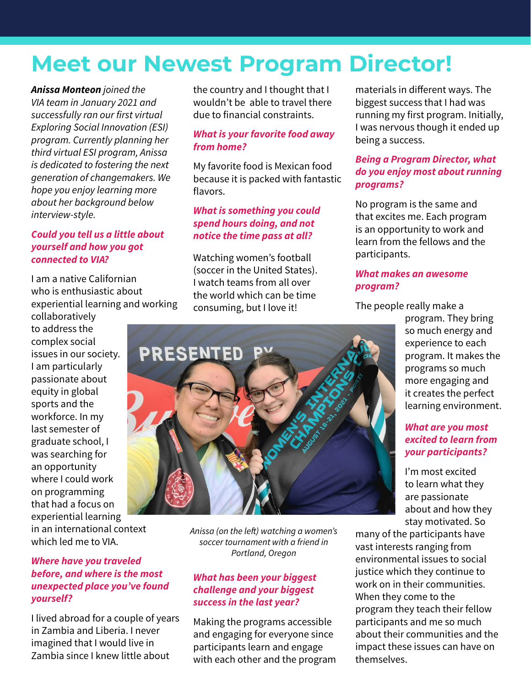## **Meet our Newest Program Director!**

*Anissa Monteon joined the VIA team in January 2021 and successfully ran our first virtual Exploring Social Innovation (ESI) program. Currently planning her third virtual ESI program, Anissa is dedicated to fostering the next generation of changemakers. We hope you enjoy learning more about her background below interview-style.* 

#### *Could you tell us a little about yourself and how you got connected to VIA?*

I am a native Californian who is enthusiastic about experiential learning and working

collaboratively to address the complex social issues in our society. I am particularly passionate about equity in global sports and the workforce. In my last semester of graduate school, I was searching for an opportunity where I could work on programming that had a focus on experiential learning in an international context which led me to VIA.

#### *Where have you traveled before, and where is the most unexpected place you've found yourself?*

I lived abroad for a couple of years in Zambia and Liberia. I never imagined that I would live in Zambia since I knew little about

the country and I thought that I wouldn't be able to travel there due to financial constraints.

#### *What is your favorite food away from home?*

My favorite food is Mexican food because it is packed with fantastic flavors.

#### *What is something you could spend hours doing, and not notice the time pass at all?*

Watching women's football (soccer in the United States). I watch teams from all over the world which can be time consuming, but I love it!

materials in different ways. The biggest success that I had was running my first program. Initially, I was nervous though it ended up being a success.

#### *Being a Program Director, what do you enjoy most about running programs?*

No program is the same and that excites me. Each program is an opportunity to work and learn from the fellows and the participants.

#### *What makes an awesome program?*

The people really make a

program. They bring so much energy and experience to each program. It makes the programs so much more engaging and it creates the perfect learning environment.

#### *What are you most excited to learn from your participants?*

I'm most excited to learn what they are passionate about and how they stay motivated. So

many of the participants have vast interests ranging from environmental issues to social justice which they continue to work on in their communities. When they come to the program they teach their fellow participants and me so much about their communities and the impact these issues can have on themselves.

*Anissa (on the left) watching a women's soccer tournament with a friend in Portland, Oregon*

#### *What has been your biggest challenge and your biggest success in the last year?*

Making the programs accessible and engaging for everyone since participants learn and engage with each other and the program

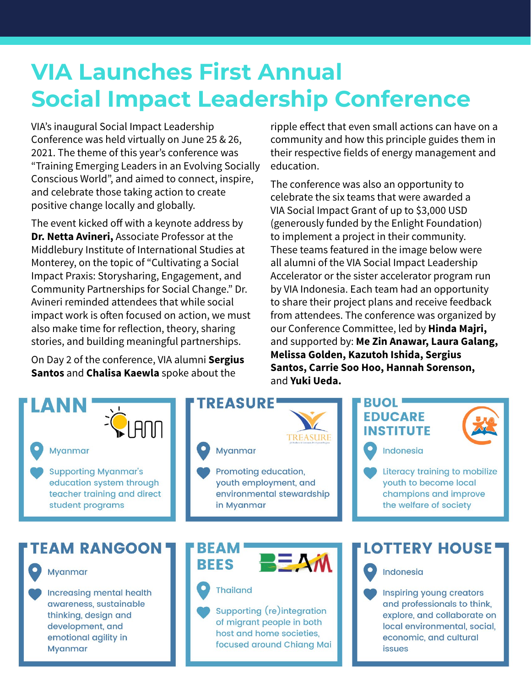## **VIA Launches First Annual Social Impact Leadership Conference**

VIA's inaugural Social Impact Leadership Conference was held virtually on June 25 & 26, 2021. The theme of this year's conference was "Training Emerging Leaders in an Evolving Socially Conscious World", and aimed to connect, inspire, and celebrate those taking action to create positive change locally and globally.

The event kicked off with a keynote address by **Dr. Netta Avineri,** Associate Professor at the Middlebury Institute of International Studies at Monterey, on the topic of "Cultivating a Social Impact Praxis: Storysharing, Engagement, and Community Partnerships for Social Change." Dr. Avineri reminded attendees that while social impact work is often focused on action, we must also make time for reflection, theory, sharing stories, and building meaningful partnerships.

On Day 2 of the conference, VIA alumni **Sergius Santos** and **Chalisa Kaewla** spoke about the

ripple effect that even small actions can have on a community and how this principle guides them in their respective fields of energy management and education.

The conference was also an opportunity to celebrate the six teams that were awarded a VIA Social Impact Grant of up to \$3,000 USD (generously funded by the Enlight Foundation) to implement a project in their community. These teams featured in the image below were all alumni of the VIA Social Impact Leadership Accelerator or the sister accelerator program run by VIA Indonesia. Each team had an opportunity to share their project plans and receive feedback from attendees. The conference was organized by our Conference Committee, led by **Hinda Majri,** and supported by: **Me Zin Anawar, Laura Galang, Melissa Golden, Kazutoh Ishida, Sergius Santos, Carrie Soo Hoo, Hannah Sorenson,**  and **Yuki Ueda.**

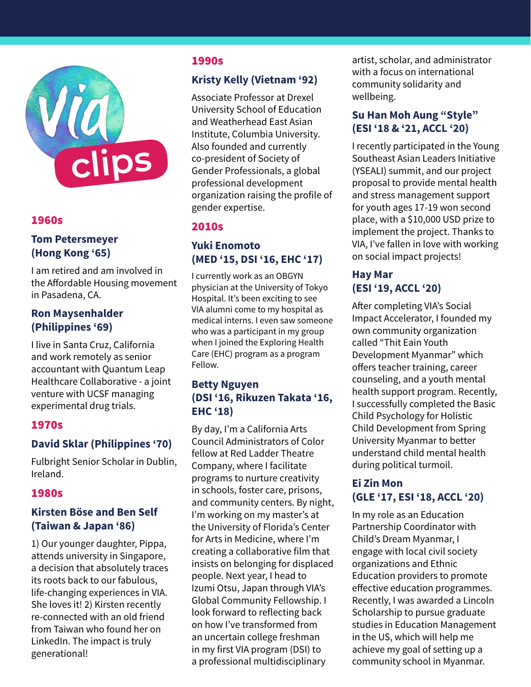

#### 1960s

#### **Tom Petersmeyer (Hong Kong '65)**

I am retired and am involved in the Affordable Housing movement in Pasadena, CA.

#### **Ron Maysenhalder (Philippines '69)**

I live in Santa Cruz, California and work remotely as senior accountant with Quantum Leap Healthcare Collaborative - a joint venture with UCSF managing experimental drug trials.

#### 1970s

#### **David Sklar (Philippines '70)**

Fulbright Senior Scholar in Dublin, Ireland.

#### 1980s

#### **Kirsten Böse and Ben Self (Taiwan & Japan '86)**

1) Our younger daughter, Pippa, attends university in Singapore, a decision that absolutely traces its roots back to our fabulous, life-changing experiences in VIA. She loves it! 2) Kirsten recently re-connected with an old friend from Taiwan who found her on LinkedIn. The impact is truly generational!

#### 1990s

#### **Kristy Kelly (Vietnam '92)**

Associate Professor at Drexel University School of Education and Weatherhead East Asian Institute, Columbia University. Also founded and currently co-president of Society of Gender Professionals, a global professional development organization raising the profile of gender expertise.

#### 2010s

#### **Yuki Enomoto (MED '15, DSI '16, EHC '17)**

I currently work as an OBGYN physician at the University of Tokyo Hospital. It's been exciting to see VIA alumni come to my hospital as medical interns. I even saw someone who was a participant in my group when I joined the Exploring Health Care (EHC) program as a program Fellow.

#### **Betty Nguyen (DSI '16, Rikuzen Takata '16, EHC '18)**

By day, I'm a California Arts Council Administrators of Color fellow at Red Ladder Theatre Company, where I facilitate programs to nurture creativity in schools, foster care, prisons, and community centers. By night, I'm working on my master's at the University of Florida's Center for Arts in Medicine, where I'm creating a collaborative film that insists on belonging for displaced people. Next year, I head to Izumi Otsu, Japan through VIA's Global Community Fellowship. I look forward to reflecting back on how I've transformed from an uncertain college freshman in my first VIA program (DSI) to a professional multidisciplinary

artist, scholar, and administrator with a focus on international community solidarity and wellbeing.

#### **Su Han Moh Aung "Style" (ESI '18 & '21, ACCL '20)**

I recently participated in the Young Southeast Asian Leaders Initiative (YSEALI) summit, and our project proposal to provide mental health and stress management support for youth ages 17-19 won second place, with a \$10,000 USD prize to implement the project. Thanks to VIA, I've fallen in love with working on social impact projects!

#### **Hay Mar (ESI '19, ACCL '20)**

After completing VIA's Social Impact Accelerator, I founded my own community organization called "Thit Eain Youth Development Myanmar" which offers teacher training, career counseling, and a youth mental health support program. Recently, I successfully completed the Basic Child Psychology for Holistic Child Development from Spring University Myanmar to better understand child mental health during political turmoil.

#### **Ei Zin Mon (GLE '17, ESI '18, ACCL '20)**

In my role as an Education Partnership Coordinator with Child's Dream Myanmar, I engage with local civil society organizations and Ethnic Education providers to promote effective education programmes. Recently, I was awarded a Lincoln Scholarship to pursue graduate studies in Education Management in the US, which will help me achieve my goal of setting up a community school in Myanmar.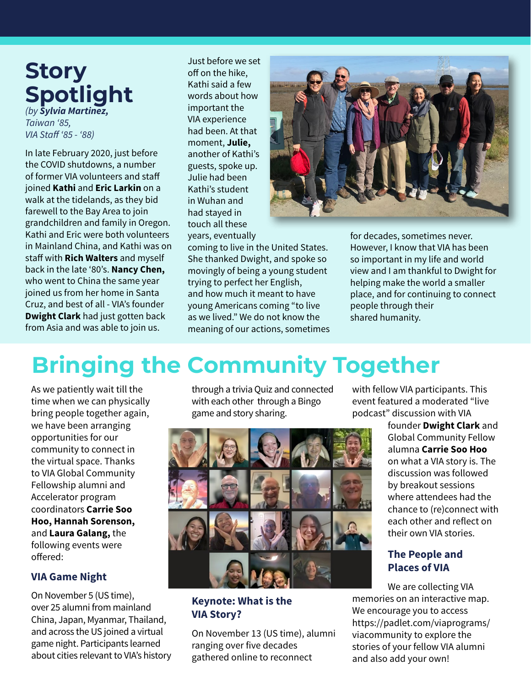### **Story Spotlight** *(by Sylvia Martinez,*

*Taiwan '85, VIA Staff '85 - '88)*

In late February 2020, just before the COVID shutdowns, a number of former VIA volunteers and staff joined **Kathi** and **Eric Larkin** on a walk at the tidelands, as they bid farewell to the Bay Area to join grandchildren and family in Oregon. Kathi and Eric were both volunteers in Mainland China, and Kathi was on staff with **Rich Walters** and myself back in the late '80's. **Nancy Chen,** who went to China the same year joined us from her home in Santa Cruz, and best of all - VIA's founder **Dwight Clark** had just gotten back from Asia and was able to join us.

Just before we set off on the hike, Kathi said a few words about how important the VIA experience had been. At that moment, **Julie,**  another of Kathi's guests, spoke up. Julie had been Kathi's student in Wuhan and had stayed in touch all these years, eventually



coming to live in the United States. She thanked Dwight, and spoke so movingly of being a young student trying to perfect her English, and how much it meant to have young Americans coming "to live as we lived." We do not know the meaning of our actions, sometimes for decades, sometimes never. However, I know that VIA has been so important in my life and world view and I am thankful to Dwight for helping make the world a smaller place, and for continuing to connect people through their shared humanity.

## **Bringing the Community Together**

As we patiently wait till the time when we can physically bring people together again, we have been arranging opportunities for our community to connect in the virtual space. Thanks to VIA Global Community Fellowship alumni and Accelerator program coordinators **Carrie Soo Hoo, Hannah Sorenson,**  and **Laura Galang,** the following events were offered:

#### **VIA Game Night**

On November 5 (US time), over 25 alumni from mainland China, Japan, Myanmar, Thailand, and across the US joined a virtual game night. Participants learned about cities relevant to VIA's history through a trivia Quiz and connected with each other through a Bingo game and story sharing.



#### **Keynote: What is the VIA Story?**

On November 13 (US time), alumni ranging over five decades gathered online to reconnect

with fellow VIA participants. This event featured a moderated "live podcast" discussion with VIA

> founder **Dwight Clark** and Global Community Fellow alumna **Carrie Soo Hoo** on what a VIA story is. The discussion was followed by breakout sessions where attendees had the chance to (re)connect with each other and reflect on their own VIA stories.

#### **The People and Places of VIA**

We are collecting VIA memories on an interactive map. We encourage you to access https://padlet.com/viaprograms/ viacommunity to explore the stories of your fellow VIA alumni and also add your own!